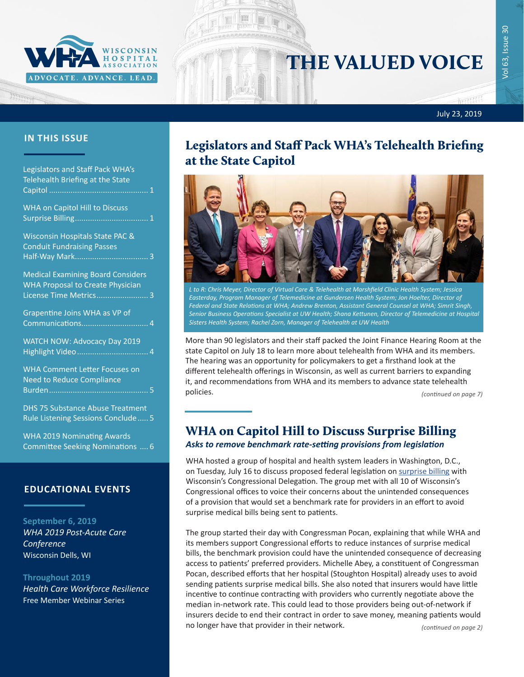

# THE VALUED VOICE

July 23, 2019

| Legislators and Staff Pack WHA's<br>Telehealth Briefing at the State                                                 |
|----------------------------------------------------------------------------------------------------------------------|
| <b>WHA on Capitol Hill to Discuss</b>                                                                                |
| Wisconsin Hospitals State PAC &<br><b>Conduit Fundraising Passes</b><br>$\overline{\phantom{0}}$ .3<br>Half-Way Mark |
| <b>Medical Examining Board Considers</b><br><b>WHA Proposal to Create Physician</b><br>License Time Metrics 3        |
| Grapentine Joins WHA as VP of<br>Communications 4                                                                    |
| <b>WATCH NOW: Advocacy Day 2019</b>                                                                                  |
| <b>WHA Comment Letter Focuses on</b><br><b>Need to Reduce Compliance</b>                                             |
| <b>DHS 75 Substance Abuse Treatment</b><br>Rule Listening Sessions Conclude  5                                       |
| <b>WHA 2019 Nominating Awards</b><br>Committee Seeking Nominations  6                                                |
|                                                                                                                      |

#### **EDUCATIONAL EVENTS**

**September 6, 2019** *[WHA 2019 Post-Acute Care](http://www.cvent.com/d/5yq0y9)  [Conference](http://www.cvent.com/d/5yq0y9)* Wisconsin Dells, WI

**Throughout 2019** *[Health Care Workforce Resilience](http://www.whareg4.org/WorkforceResilience/)* Free Member Webinar Series

### **IN THIS ISSUE** Legislators and Staff Pack WHA's Telehealth Briefing at the State Capitol



*L to R: Chris Meyer, Director of Virtual Care & Telehealth at Marshfield Clinic Health System; Jessica Easterday, Program Manager of Telemedicine at Gundersen Health System; Jon Hoelter, Director of Federal and State Relations at WHA; Andrew Brenton, Assistant General Counsel at WHA; Simrit Singh, Senior Business Operations Specialist at UW Health; Shana Kettunen, Director of Telemedicine at Hospital Sisters Health System; Rachel Zorn, Manager of Telehealth at UW Health*

More than 90 legislators and their staff packed the Joint Finance Hearing Room at the state Capitol on July 18 to learn more about telehealth from WHA and its members. The hearing was an opportunity for policymakers to get a firsthand look at the different telehealth offerings in Wisconsin, as well as current barriers to expanding it, and recommendations from WHA and its members to advance state telehealth policies. *(continued on page 7)*

## WHA on Capitol Hill to Discuss Surprise Billing

*Asks to remove benchmark rate-setting provisions from legislation*

WHA hosted a group of hospital and health system leaders in Washington, D.C., on Tuesday, July 16 to discuss proposed federal legislation on [surprise billing](https://www.wha.org/WisconsinHospitalAssociation/media/WHACommon/Government%20Relations/pdf/WHAIssuePaperonTransparency-July2019.pdf) with Wisconsin's Congressional Delegation. The group met with all 10 of Wisconsin's Congressional offices to voice their concerns about the unintended consequences of a provision that would set a benchmark rate for providers in an effort to avoid surprise medical bills being sent to patients.

The group started their day with Congressman Pocan, explaining that while WHA and its members support Congressional efforts to reduce instances of surprise medical bills, the benchmark provision could have the unintended consequence of decreasing access to patients' preferred providers. Michelle Abey, a constituent of Congressman Pocan, described efforts that her hospital (Stoughton Hospital) already uses to avoid sending patients surprise medical bills. She also noted that insurers would have little incentive to continue contracting with providers who currently negotiate above the median in-network rate. This could lead to those providers being out-of-network if insurers decide to end their contract in order to save money, meaning patients would no longer have that provider in their network.

*(continued on page 2)*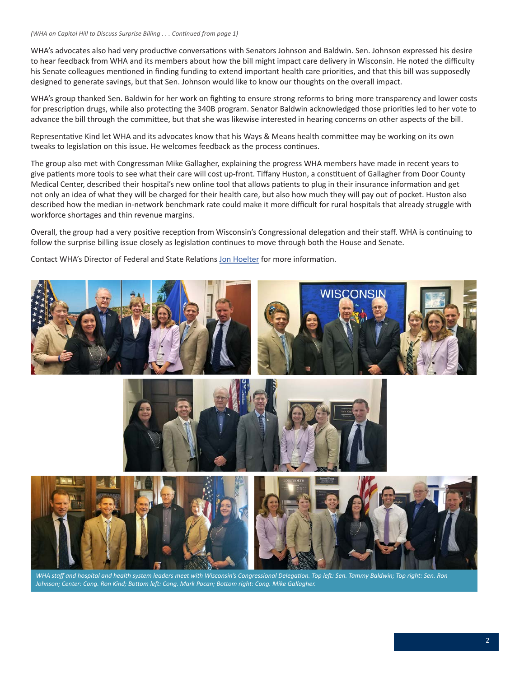WHA's advocates also had very productive conversations with Senators Johnson and Baldwin. Sen. Johnson expressed his desire to hear feedback from WHA and its members about how the bill might impact care delivery in Wisconsin. He noted the difficulty his Senate colleagues mentioned in finding funding to extend important health care priorities, and that this bill was supposedly designed to generate savings, but that Sen. Johnson would like to know our thoughts on the overall impact.

WHA's group thanked Sen. Baldwin for her work on fighting to ensure strong reforms to bring more transparency and lower costs for prescription drugs, while also protecting the 340B program. Senator Baldwin acknowledged those priorities led to her vote to advance the bill through the committee, but that she was likewise interested in hearing concerns on other aspects of the bill.

Representative Kind let WHA and its advocates know that his Ways & Means health committee may be working on its own tweaks to legislation on this issue. He welcomes feedback as the process continues.

The group also met with Congressman Mike Gallagher, explaining the progress WHA members have made in recent years to give patients more tools to see what their care will cost up-front. Tiffany Huston, a constituent of Gallagher from Door County Medical Center, described their hospital's new online tool that allows patients to plug in their insurance information and get not only an idea of what they will be charged for their health care, but also how much they will pay out of pocket. Huston also described how the median in-network benchmark rate could make it more difficult for rural hospitals that already struggle with workforce shortages and thin revenue margins.

Overall, the group had a very positive reception from Wisconsin's Congressional delegation and their staff. WHA is continuing to follow the surprise billing issue closely as legislation continues to move through both the House and Senate.

Contact WHA's Director of Federal and State Relations [Jon Hoelter](mailto:jhoelter@wha.org) for more information.



*WHA staff and hospital and health system leaders meet with Wisconsin's Congressional Delegation. Top left: Sen. Tammy Baldwin; Top right: Sen. Ron Johnson; Center: Cong. Ron Kind; Bottom left: Cong. Mark Pocan; Bottom right: Cong. Mike Gallagher.*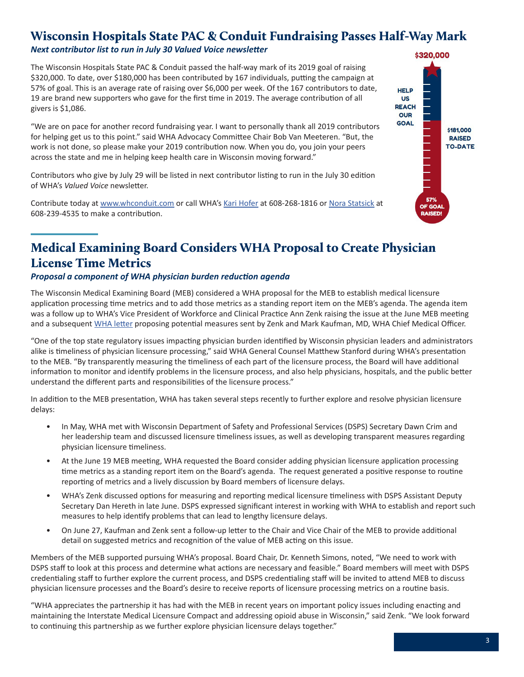### <span id="page-2-0"></span>Wisconsin Hospitals State PAC & Conduit Fundraising Passes Half-Way Mark

#### *Next contributor list to run in July 30 Valued Voice newsletter*

The Wisconsin Hospitals State PAC & Conduit passed the half-way mark of its 2019 goal of raising \$320,000. To date, over \$180,000 has been contributed by 167 individuals, putting the campaign at 57% of goal. This is an average rate of raising over \$6,000 per week. Of the 167 contributors to date, 19 are brand new supporters who gave for the first time in 2019. The average contribution of all givers is \$1,086.

"We are on pace for another record fundraising year. I want to personally thank all 2019 contributors for helping get us to this point." said WHA Advocacy Committee Chair Bob Van Meeteren. "But, the work is not done, so please make your 2019 contribution now. When you do, you join your peers across the state and me in helping keep health care in Wisconsin moving forward."

Contributors who give by July 29 will be listed in next contributor listing to run in the July 30 edition of WHA's *Valued Voice* newsletter.

Contribute today at [www.whconduit.com](http://www.whconduit.com) or call WHA's [Kari Hofer](mailto:khofer@wha.org) at 608-268-1816 or [Nora Statsick](mailto:nstatsick@wha.org) at 608-239-4535 to make a contribution.



### Medical Examining Board Considers WHA Proposal to Create Physician License Time Metrics

### *Proposal a component of WHA physician burden reduction agenda*

The Wisconsin Medical Examining Board (MEB) considered a WHA proposal for the MEB to establish medical licensure application processing time metrics and to add those metrics as a standing report item on the MEB's agenda. The agenda item was a follow up to WHA's Vice President of Workforce and Clinical Practice Ann Zenk raising the issue at the June MEB meeting and a subsequent [WHA letter](https://www.wha.org/WisconsinHospitalAssociation/media/WHACommon/CommentLetters/WHAProposalReLicensureProcessingTimeMeasures6-27-19.pdf) proposing potential measures sent by Zenk and Mark Kaufman, MD, WHA Chief Medical Officer.

"One of the top state regulatory issues impacting physician burden identified by Wisconsin physician leaders and administrators alike is timeliness of physician licensure processing," said WHA General Counsel Matthew Stanford during WHA's presentation to the MEB. "By transparently measuring the timeliness of each part of the licensure process, the Board will have additional information to monitor and identify problems in the licensure process, and also help physicians, hospitals, and the public better understand the different parts and responsibilities of the licensure process."

In addition to the MEB presentation, WHA has taken several steps recently to further explore and resolve physician licensure delays:

- In May, WHA met with Wisconsin Department of Safety and Professional Services (DSPS) Secretary Dawn Crim and her leadership team and discussed licensure timeliness issues, as well as developing transparent measures regarding physician licensure timeliness.
- At the June 19 MEB meeting, WHA requested the Board consider adding physician licensure application processing time metrics as a standing report item on the Board's agenda. The request generated a positive response to routine reporting of metrics and a lively discussion by Board members of licensure delays.
- WHA's Zenk discussed options for measuring and reporting medical licensure timeliness with DSPS Assistant Deputy Secretary Dan Hereth in late June. DSPS expressed significant interest in working with WHA to establish and report such measures to help identify problems that can lead to lengthy licensure delays.
- On June 27, Kaufman and Zenk sent a follow-up letter to the Chair and Vice Chair of the MEB to provide additional detail on suggested metrics and recognition of the value of MEB acting on this issue.

Members of the MEB supported pursuing WHA's proposal. Board Chair, Dr. Kenneth Simons, noted, "We need to work with DSPS staff to look at this process and determine what actions are necessary and feasible." Board members will meet with DSPS credentialing staff to further explore the current process, and DSPS credentialing staff will be invited to attend MEB to discuss physician licensure processes and the Board's desire to receive reports of licensure processing metrics on a routine basis.

"WHA appreciates the partnership it has had with the MEB in recent years on important policy issues including enacting and maintaining the Interstate Medical Licensure Compact and addressing opioid abuse in Wisconsin," said Zenk. "We look forward to continuing this partnership as we further explore physician licensure delays together."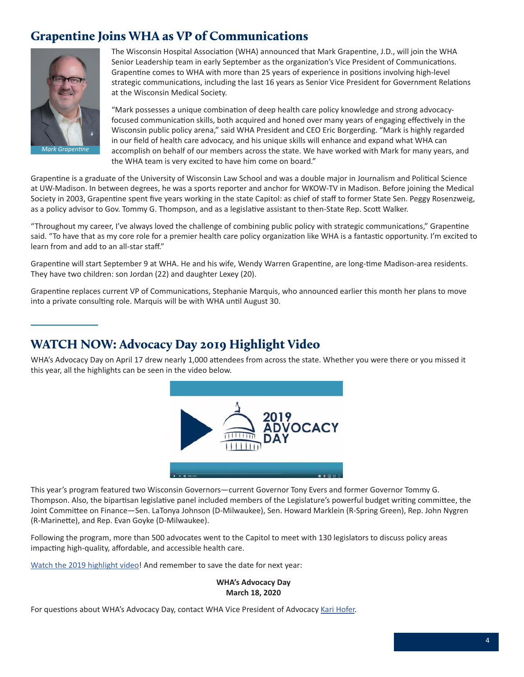### <span id="page-3-0"></span>Grapentine Joins WHA as VP of Communications



The Wisconsin Hospital Association (WHA) announced that Mark Grapentine, J.D., will join the WHA Senior Leadership team in early September as the organization's Vice President of Communications. Grapentine comes to WHA with more than 25 years of experience in positions involving high-level strategic communications, including the last 16 years as Senior Vice President for Government Relations at the Wisconsin Medical Society.

"Mark possesses a unique combination of deep health care policy knowledge and strong advocacyfocused communication skills, both acquired and honed over many years of engaging effectively in the Wisconsin public policy arena," said WHA President and CEO Eric Borgerding. "Mark is highly regarded in our field of health care advocacy, and his unique skills will enhance and expand what WHA can accomplish on behalf of our members across the state. We have worked with Mark for many years, and the WHA team is very excited to have him come on board."

Grapentine is a graduate of the University of Wisconsin Law School and was a double major in Journalism and Political Science at UW-Madison. In between degrees, he was a sports reporter and anchor for WKOW-TV in Madison. Before joining the Medical Society in 2003, Grapentine spent five years working in the state Capitol: as chief of staff to former State Sen. Peggy Rosenzweig, as a policy advisor to Gov. Tommy G. Thompson, and as a legislative assistant to then-State Rep. Scott Walker.

"Throughout my career, I've always loved the challenge of combining public policy with strategic communications," Grapentine said. "To have that as my core role for a premier health care policy organization like WHA is a fantastic opportunity. I'm excited to learn from and add to an all-star staff."

Grapentine will start September 9 at WHA. He and his wife, Wendy Warren Grapentine, are long-time Madison-area residents. They have two children: son Jordan (22) and daughter Lexey (20).

Grapentine replaces current VP of Communications, Stephanie Marquis, who announced earlier this month her plans to move into a private consulting role. Marquis will be with WHA until August 30.

### WATCH NOW: Advocacy Day 2019 Highlight Video

WHA's Advocacy Day on April 17 drew nearly 1,000 attendees from across the state. Whether you were there or you missed it this year, all the highlights can be seen in the video below.



This year's program featured two Wisconsin Governors—current Governor Tony Evers and former Governor Tommy G. Thompson. Also, the bipartisan legislative panel included members of the Legislature's powerful budget writing committee, the Joint Committee on Finance—Sen. LaTonya Johnson (D-Milwaukee), Sen. Howard Marklein (R-Spring Green), Rep. John Nygren (R-Marinette), and Rep. Evan Goyke (D-Milwaukee).

Following the program, more than 500 advocates went to the Capitol to meet with 130 legislators to discuss policy areas impacting high-quality, affordable, and accessible health care.

[Watch the 2019 highlight video](https://www.wha.org/MediaRoom/VideoLibrary)! And remember to save the date for next year:

**WHA's Advocacy Day March 18, 2020**

For questions about WHA's Advocacy Day, contact WHA Vice President of Advocacy [Kari Hofer](mailto:khofer@wha.org).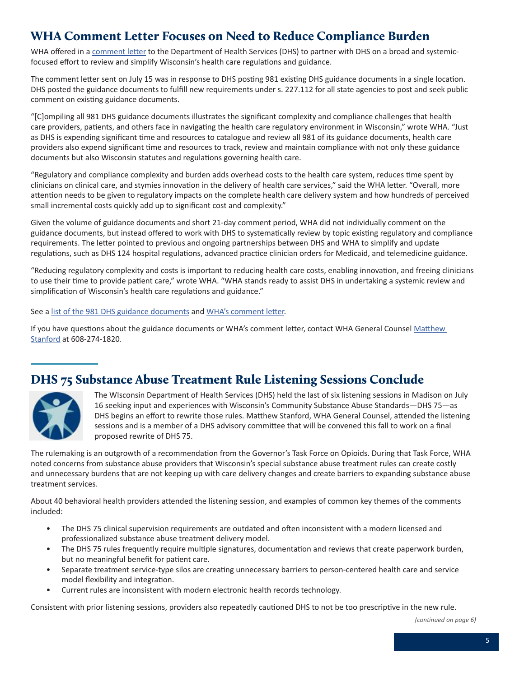### <span id="page-4-0"></span>WHA Comment Letter Focuses on Need to Reduce Compliance Burden

WHA offered in a [comment letter](https://www.wha.org/WisconsinHospitalAssociation/media/WHACommon/CommentLetters/WHACommentonDHSGuidanceDocuments7-15-19.pdf) to the Department of Health Services (DHS) to partner with DHS on a broad and systemicfocused effort to review and simplify Wisconsin's health care regulations and guidance.

The comment letter sent on July 15 was in response to DHS posting 981 existing DHS guidance documents in a single location. DHS posted the guidance documents to fulfill new requirements under s. 227.112 for all state agencies to post and seek public comment on existing guidance documents.

"[C]ompiling all 981 DHS guidance documents illustrates the significant complexity and compliance challenges that health care providers, patients, and others face in navigating the health care regulatory environment in Wisconsin," wrote WHA. "Just as DHS is expending significant time and resources to catalogue and review all 981 of its guidance documents, health care providers also expend significant time and resources to track, review and maintain compliance with not only these guidance documents but also Wisconsin statutes and regulations governing health care.

"Regulatory and compliance complexity and burden adds overhead costs to the health care system, reduces time spent by clinicians on clinical care, and stymies innovation in the delivery of health care services," said the WHA letter. "Overall, more attention needs to be given to regulatory impacts on the complete health care delivery system and how hundreds of perceived small incremental costs quickly add up to significant cost and complexity."

Given the volume of guidance documents and short 21-day comment period, WHA did not individually comment on the guidance documents, but instead offered to work with DHS to systematically review by topic existing regulatory and compliance requirements. The letter pointed to previous and ongoing partnerships between DHS and WHA to simplify and update regulations, such as DHS 124 hospital regulations, advanced practice clinician orders for Medicaid, and telemedicine guidance.

"Reducing regulatory complexity and costs is important to reducing health care costs, enabling innovation, and freeing clinicians to use their time to provide patient care," wrote WHA. "WHA stands ready to assist DHS in undertaking a systemic review and simplification of Wisconsin's health care regulations and guidance."

See a [list of the 981 DHS guidance documents](https://docs.legis.wisconsin.gov/code/register/2019/762B/register/guidance_documents/department_of_health_services_dhs/public_notice_notice_of_proposed_guidance_documents) and [WHA's comment letter.](https://www.wha.org/WisconsinHospitalAssociation/media/WHACommon/CommentLetters/WHACommentonDHSGuidanceDocuments7-15-19.pdf)

If you have questions about the guidance documents or WHA's comment letter, contact WHA General Counsel Matthew [Stanford](mailto:mstanford@wha.org) at 608-274-1820.

### DHS 75 Substance Abuse Treatment Rule Listening Sessions Conclude



The WIsconsin Department of Health Services (DHS) held the last of six listening sessions in Madison on July 16 seeking input and experiences with Wisconsin's Community Substance Abuse Standards—DHS 75—as DHS begins an effort to rewrite those rules. Matthew Stanford, WHA General Counsel, attended the listening sessions and is a member of a DHS advisory committee that will be convened this fall to work on a final proposed rewrite of DHS 75.

The rulemaking is an outgrowth of a recommendation from the Governor's Task Force on Opioids. During that Task Force, WHA noted concerns from substance abuse providers that Wisconsin's special substance abuse treatment rules can create costly and unnecessary burdens that are not keeping up with care delivery changes and create barriers to expanding substance abuse treatment services.

About 40 behavioral health providers attended the listening session, and examples of common key themes of the comments included:

- The DHS 75 clinical supervision requirements are outdated and often inconsistent with a modern licensed and professionalized substance abuse treatment delivery model.
- The DHS 75 rules frequently require multiple signatures, documentation and reviews that create paperwork burden, but no meaningful benefit for patient care.
- Separate treatment service-type silos are creating unnecessary barriers to person-centered health care and service model flexibility and integration.
- Current rules are inconsistent with modern electronic health records technology.

Consistent with prior listening sessions, providers also repeatedly cautioned DHS to not be too prescriptive in the new rule.

*<sup>(</sup>continued on page 6)*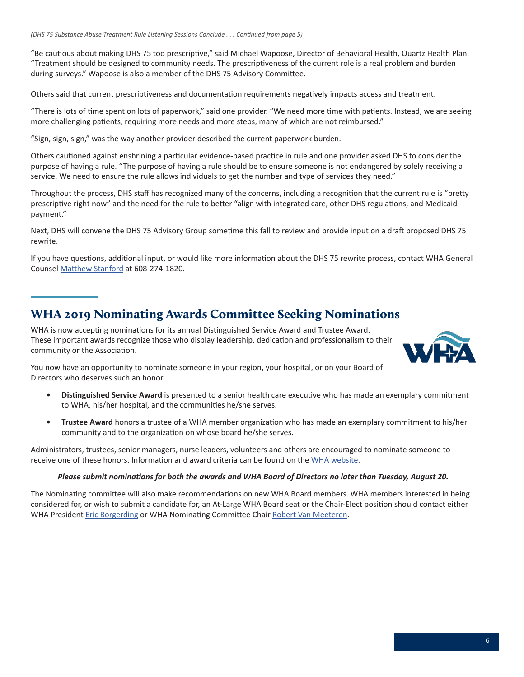<span id="page-5-0"></span>"Be cautious about making DHS 75 too prescriptive," said Michael Wapoose, Director of Behavioral Health, Quartz Health Plan. "Treatment should be designed to community needs. The prescriptiveness of the current role is a real problem and burden during surveys." Wapoose is also a member of the DHS 75 Advisory Committee.

Others said that current prescriptiveness and documentation requirements negatively impacts access and treatment.

"There is lots of time spent on lots of paperwork," said one provider. "We need more time with patients. Instead, we are seeing more challenging patients, requiring more needs and more steps, many of which are not reimbursed."

"Sign, sign, sign," was the way another provider described the current paperwork burden.

Others cautioned against enshrining a particular evidence-based practice in rule and one provider asked DHS to consider the purpose of having a rule. "The purpose of having a rule should be to ensure someone is not endangered by solely receiving a service. We need to ensure the rule allows individuals to get the number and type of services they need."

Throughout the process, DHS staff has recognized many of the concerns, including a recognition that the current rule is "pretty prescriptive right now" and the need for the rule to better "align with integrated care, other DHS regulations, and Medicaid payment."

Next, DHS will convene the DHS 75 Advisory Group sometime this fall to review and provide input on a draft proposed DHS 75 rewrite.

If you have questions, additional input, or would like more information about the DHS 75 rewrite process, contact WHA General Counsel [Matthew Stanford](mailto:mstanford@wha.org) at 608-274-1820.

### WHA 2019 Nominating Awards Committee Seeking Nominations

WHA is now accepting nominations for its annual Distinguished Service Award and Trustee Award. These important awards recognize those who display leadership, dedication and professionalism to their community or the Association.



You now have an opportunity to nominate someone in your region, your hospital, or on your Board of Directors who deserves such an honor.

- **• Distinguished Service Award** is presented to a senior health care executive who has made an exemplary commitment to WHA, his/her hospital, and the communities he/she serves.
- **• Trustee Award** honors a trustee of a WHA member organization who has made an exemplary commitment to his/her community and to the organization on whose board he/she serves.

Administrators, trustees, senior managers, nurse leaders, volunteers and others are encouraged to nominate someone to receive one of these honors. Information and award criteria can be found on the [WHA website.](https://www.wha.org/AboutWHA/WHA-Awards)

#### *Please submit nominations for both the awards and WHA Board of Directors no later than Tuesday, August 20.*

The Nominating committee will also make recommendations on new WHA Board members. WHA members interested in being considered for, or wish to submit a candidate for, an At-Large WHA Board seat or the Chair-Elect position should contact either WHA President [Eric Borgerding](mailto:eborgerding@wha.org) or WHA Nominating Committee Chair [Robert Van Meeteren.](mailto:rvanmeeteren@ramchealth.org)